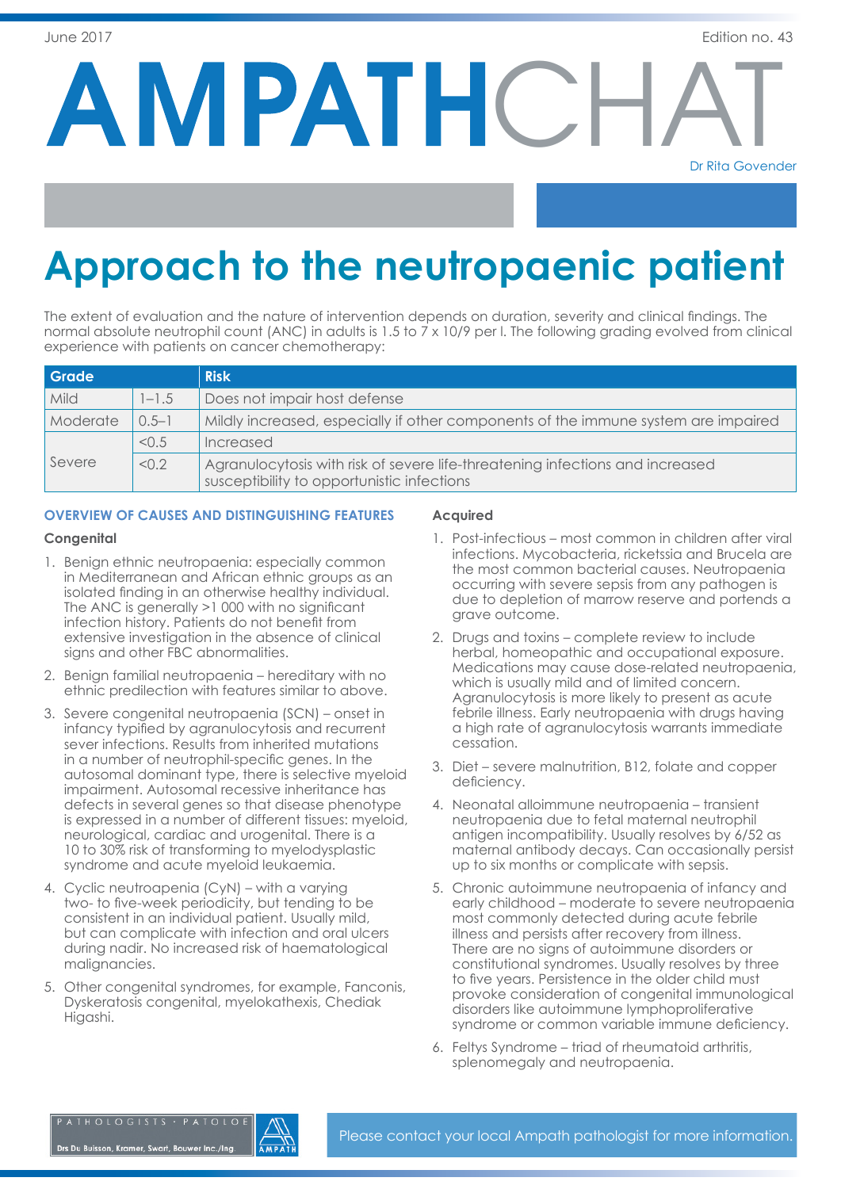**AMPATHCH** 

Dr Rita Govender

# **Approach to the neutropaenic patient**

The extent of evaluation and the nature of intervention depends on duration, severity and clinical findings. The normal absolute neutrophil count (ANC) in adults is 1.5 to 7 x 10/9 per l. The following grading evolved from clinical experience with patients on cancer chemotherapy:

| Grade    |           | <b>Risk</b>                                                                                                                 |
|----------|-----------|-----------------------------------------------------------------------------------------------------------------------------|
| Mild     | $1 - 1.5$ | Does not impair host defense                                                                                                |
| Moderate | $0.5 - 1$ | Mildly increased, especially if other components of the immune system are impaired                                          |
| Severe   | < 0.5     | Increased                                                                                                                   |
|          | < 0.2     | Agranulocytosis with risk of severe life-threatening infections and increased<br>susceptibility to opportunistic infections |

# **OVERVIEW OF CAUSES AND DISTINGUISHING FEATURES**

# **Congenital**

- 1. Benign ethnic neutropaenia: especially common in Mediterranean and African ethnic groups as an isolated finding in an otherwise healthy individual. The ANC is generally >1 000 with no significant infection history. Patients do not benefit from extensive investigation in the absence of clinical signs and other FBC abnormalities.
- 2. Benign familial neutropaenia hereditary with no ethnic predilection with features similar to above.
- 3. Severe congenital neutropaenia (SCN) onset in infancy typified by agranulocytosis and recurrent sever infections. Results from inherited mutations in a number of neutrophil-specific genes. In the autosomal dominant type, there is selective myeloid impairment. Autosomal recessive inheritance has defects in several genes so that disease phenotype is expressed in a number of different tissues: myeloid, neurological, cardiac and urogenital. There is a 10 to 30% risk of transforming to myelodysplastic syndrome and acute myeloid leukaemia.
- 4. Cyclic neutroapenia (CyN) with a varying two- to five-week periodicity, but tending to be consistent in an individual patient. Usually mild, but can complicate with infection and oral ulcers during nadir. No increased risk of haematological malignancies.
- 5. Other congenital syndromes, for example, Fanconis, Dyskeratosis congenital, myelokathexis, Chediak Higashi.

# **Acquired**

- 1. Post-infectious most common in children after viral infections. Mycobacteria, ricketssia and Brucela are the most common bacterial causes. Neutropaenia occurring with severe sepsis from any pathogen is due to depletion of marrow reserve and portends a grave outcome.
- 2. Drugs and toxins complete review to include herbal, homeopathic and occupational exposure. Medications may cause dose-related neutropaenia, which is usually mild and of limited concern. Agranulocytosis is more likely to present as acute febrile illness. Early neutropaenia with drugs having a high rate of agranulocytosis warrants immediate cessation.
- 3. Diet severe malnutrition, B12, folate and copper deficiency.
- 4. Neonatal alloimmune neutropaenia transient neutropaenia due to fetal maternal neutrophil antigen incompatibility. Usually resolves by 6/52 as maternal antibody decays. Can occasionally persist up to six months or complicate with sepsis.
- 5. Chronic autoimmune neutropaenia of infancy and early childhood – moderate to severe neutropaenia most commonly detected during acute febrile illness and persists after recovery from illness. There are no signs of autoimmune disorders or constitutional syndromes. Usually resolves by three to five years. Persistence in the older child must provoke consideration of congenital immunological disorders like autoimmune lymphoproliferative syndrome or common variable immune deficiency.
- 6. Feltys Syndrome triad of rheumatoid arthritis, splenomegaly and neutropaenia.

ATHOLOGISTS · PATOLO